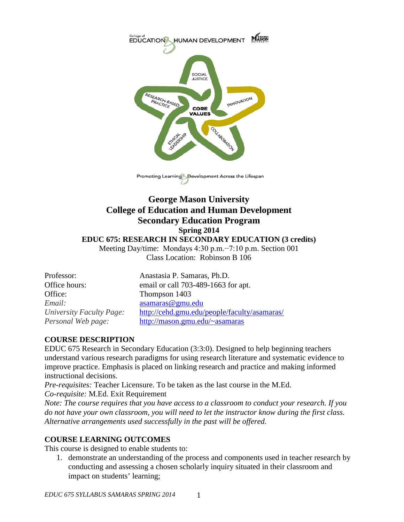

Promoting Learning Development Across the Lifespan

# **George Mason University College of Education and Human Development Secondary Education Program Spring 2014 EDUC 675: RESEARCH IN SECONDARY EDUCATION (3 credits)**

Meeting Day/time: Mondays 4:30 p.m.−7:10 p.m. Section 001 Class Location: Robinson B 106

Office: Thompson 1403 *Email:* [asamaras@gmu.edu](mailto:asamaras@gmu.edu)

Professor: Anastasia P. Samaras, Ph.D. Office hours: email or call 703-489-1663 for apt. *University Faculty Page:* <http://cehd.gmu.edu/people/faculty/asamaras/> *Personal Web page:* [http://mason.gmu.edu/~asamaras](http://mason.gmu.edu/%7Easamaras)

### **COURSE DESCRIPTION**

EDUC 675 Research in Secondary Education (3:3:0). Designed to help beginning teachers understand various research paradigms for using research literature and systematic evidence to improve practice. Emphasis is placed on linking research and practice and making informed instructional decisions.

*Pre-requisites:* Teacher Licensure. To be taken as the last course in the M.Ed. *Co-requisite:* M.Ed. Exit Requirement

*Note: The course requires that you have access to a classroom to conduct your research. If you do not have your own classroom, you will need to let the instructor know during the first class. Alternative arrangements used successfully in the past will be offered.*

# **COURSE LEARNING OUTCOMES**

This course is designed to enable students to:

1. demonstrate an understanding of the process and components used in teacher research by conducting and assessing a chosen scholarly inquiry situated in their classroom and impact on students' learning;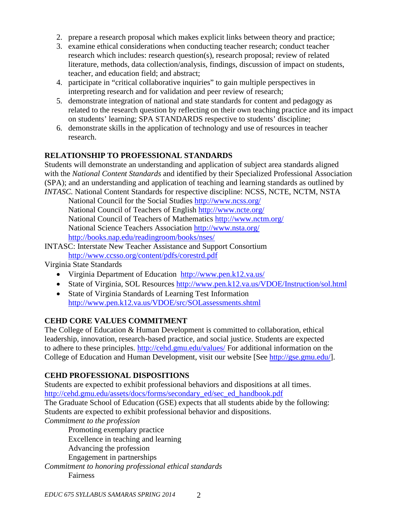- 2. prepare a research proposal which makes explicit links between theory and practice;
- 3. examine ethical considerations when conducting teacher research; conduct teacher research which includes: research question(s), research proposal; review of related literature, methods, data collection/analysis, findings, discussion of impact on students, teacher, and education field; and abstract;
- 4. participate in "critical collaborative inquiries" to gain multiple perspectives in interpreting research and for validation and peer review of research;
- 5. demonstrate integration of national and state standards for content and pedagogy as related to the research question by reflecting on their own teaching practice and its impact on students' learning; SPA STANDARDS respective to students' discipline;
- 6. demonstrate skills in the application of technology and use of resources in teacher research.

### **RELATIONSHIP TO PROFESSIONAL STANDARDS**

Students will demonstrate an understanding and application of subject area standards aligned with the *National Content Standards* and identified by their Specialized Professional Association (SPA); and an understanding and application of teaching and learning standards as outlined by *INTASC.* National Content Standards for respective discipline: NCSS, NCTE, NCTM, NSTA

National Council for the Social Studies<http://www.ncss.org/> National Council of Teachers of English<http://www.ncte.org/> National Council of Teachers of Mathematics<http://www.nctm.org/> National Science Teachers Association<http://www.nsta.org/> <http://books.nap.edu/readingroom/books/nses/>

[INTASC: Interstate New Teacher Assistance and Support Consortium](http://www.ccsso.org/content/pdfs/corestrd.pdf) <http://www.ccsso.org/content/pdfs/corestrd.pdf>

Virginia State Standards

- [Virginia Department of Education http://www.pen.k12.va.us/](http://www.pen.k12.va.us/)
- State of Virginia, SOL Resources<http://www.pen.k12.va.us/VDOE/Instruction/sol.html>
- State of Virginia Standards of Learning Test Information <http://www.pen.k12.va.us/VDOE/src/SOLassessments.shtml>

# **CEHD CORE VALUES COMMITMENT**

The College of Education & Human Development is committed to collaboration, ethical leadership, innovation, research-based practice, and social justice. Students are expected to adhere to these principles.<http://cehd.gmu.edu/values/> For additional information on the College of Education and Human Development, visit our website [See [http://gse.gmu.edu/\]](http://gse.gmu.edu/).

# **CEHD PROFESSIONAL DISPOSITIONS**

Students are expected to exhibit professional behaviors and dispositions at all times. [http://cehd.gmu.edu/assets/docs/forms/secondary\\_ed/sec\\_ed\\_handbook.pdf](http://cehd.gmu.edu/assets/docs/forms/secondary_ed/sec_ed_handbook.pdf)

The Graduate School of Education (GSE) expects that all students abide by the following: Students are expected to exhibit professional behavior and dispositions.

*Commitment to the profession*

Promoting exemplary practice Excellence in teaching and learning Advancing the profession Engagement in partnerships

*Commitment to honoring professional ethical standards* Fairness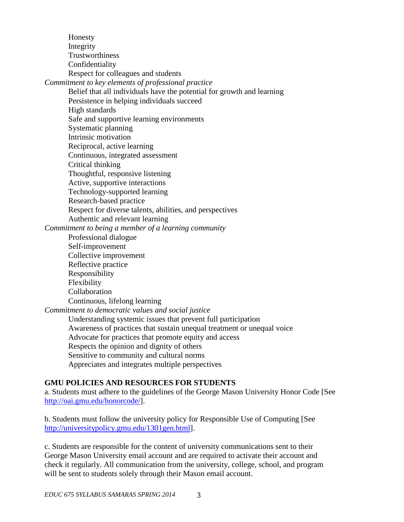Honesty Integrity Trustworthiness Confidentiality Respect for colleagues and students *Commitment to key elements of professional practice* Belief that all individuals have the potential for growth and learning Persistence in helping individuals succeed High standards Safe and supportive learning environments Systematic planning Intrinsic motivation Reciprocal, active learning Continuous, integrated assessment Critical thinking Thoughtful, responsive listening Active, supportive interactions Technology-supported learning Research-based practice Respect for diverse talents, abilities, and perspectives Authentic and relevant learning *Commitment to being a member of a learning community* Professional dialogue Self-improvement Collective improvement Reflective practice Responsibility Flexibility Collaboration Continuous, lifelong learning *Commitment to democratic values and social justice* Understanding systemic issues that prevent full participation Awareness of practices that sustain unequal treatment or unequal voice Advocate for practices that promote equity and access Respects the opinion and dignity of others Sensitive to community and cultural norms Appreciates and integrates multiple perspectives

#### **GMU POLICIES AND RESOURCES FOR STUDENTS**

a. Students must adhere to the guidelines of the George Mason University Honor Code [See [http://oai.gmu.edu/honorcode/\]](http://oai.gmu.edu/honorcode/).

b. Students must follow the university policy for Responsible Use of Computing [See [http://universitypolicy.gmu.edu/1301gen.html\]](http://universitypolicy.gmu.edu/1301gen.html).

c. Students are responsible for the content of university communications sent to their George Mason University email account and are required to activate their account and check it regularly. All communication from the university, college, school, and program will be sent to students solely through their Mason email account.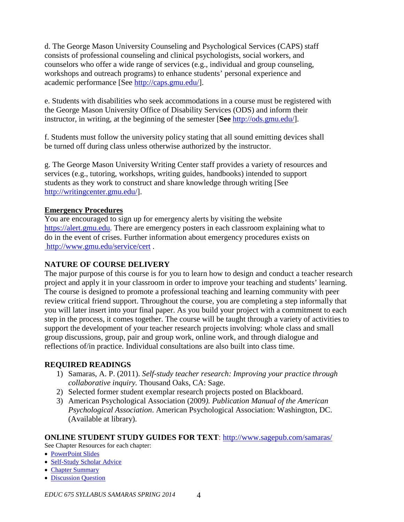d. The George Mason University Counseling and Psychological Services (CAPS) staff consists of professional counseling and clinical psychologists, social workers, and counselors who offer a wide range of services (e.g., individual and group counseling, workshops and outreach programs) to enhance students' personal experience and academic performance [See [http://caps.gmu.edu/\]](http://caps.gmu.edu/).

e. Students with disabilities who seek accommodations in a course must be registered with the George Mason University Office of Disability Services (ODS) and inform their instructor, in writing, at the beginning of the semester [**See** [http://ods.gmu.edu/\]](http://ods.gmu.edu/).

f. Students must follow the university policy stating that all sound emitting devices shall be turned off during class unless otherwise authorized by the instructor.

g. The George Mason University Writing Center staff provides a variety of resources and services (e.g., tutoring, workshops, writing guides, handbooks) intended to support students as they work to construct and share knowledge through writing [See [http://writingcenter.gmu.edu/\]](http://writingcenter.gmu.edu/).

### **Emergency Procedures**

You are encouraged to sign up for emergency alerts by visiting the website [https://alert.gmu.edu.](https://alert.gmu.edu/) There are emergency posters in each classroom explaining what to do in the event of crises. Further information about emergency procedures exists on <http://www.gmu.edu/service/cert> .

### **NATURE OF COURSE DELIVERY**

The major purpose of this course is for you to learn how to design and conduct a teacher research project and apply it in your classroom in order to improve your teaching and students' learning. The course is designed to promote a professional teaching and learning community with peer review critical friend support. Throughout the course, you are completing a step informally that you will later insert into your final paper. As you build your project with a commitment to each step in the process, it comes together. The course will be taught through a variety of activities to support the development of your teacher research projects involving: whole class and small group discussions, group, pair and group work, online work, and through dialogue and reflections of/in practice. Individual consultations are also built into class time.

### **REQUIRED READINGS**

- 1) Samaras, A. P. (2011). *Self-study teacher research: Improving your practice through collaborative inquiry.* Thousand Oaks, CA: Sage.
- 2) Selected former student exemplar research projects posted on Blackboard.
- 3) American Psychological Association (2009*). Publication Manual of the American Psychological Association*. American Psychological Association: Washington, DC. (Available at library).

#### **ONLINE STUDENT STUDY GUIDES FOR TEXT**:<http://www.sagepub.com/samaras/>

See Chapter Resources for each chapter:

- [PowerPoint Slides](http://www.sagepub.com/samaras/chapters/PPTs/Ch01PPT.ppt)
- [Self-Study Scholar Advice](http://www.sagepub.com/samaras/chapters/Scholar%20Advice/Ch01ScholarAdvice.pdf)
- [Chapter Summary](http://www.sagepub.com/samaras/chapters/Chapter%20Summaries/Ch01Description.pdf)
- [Discussion Question](http://www.sagepub.com/samaras/chapters/Discussion%20Questions%20and%20Classroom%20Activities/Ch01Discussion.doc)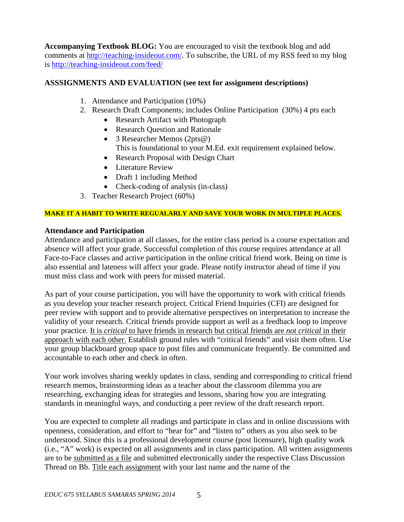**Accompanying Textbook BLOG:** You are encouraged to visit the textbook blog and add comments at [http://teaching-insideout.com/.](http://teaching-insideout.com/) To subscribe, the URL of my RSS feed to my blog is<http://teaching-insideout.com/feed/>

### **ASSSIGNMENTS AND EVALUATION (see text for assignment descriptions)**

- 1. Attendance and Participation (10%)
- 2. Research Draft Components; includes Online Participation (30%) 4 pts each
	- Research Artifact with Photograph
	- Research Question and Rationale
	- 3 Researcher Memos (2pts@) This is foundational to your M.Ed. exit requirement explained below.
	- Research Proposal with Design Chart
	- Literature Review
	- Draft 1 including Method
	- Check-coding of analysis (in-class)
- 3. Teacher Research Project (60%)

#### **MAKE IT A HABIT TO WRITE REGUALARLY AND SAVE YOUR WORK IN MULTIPLE PLACES.**

### **Attendance and Participation**

Attendance and participation at all classes, for the entire class period is a course expectation and absence will affect your grade. Successful completion of this course requires attendance at all Face-to-Face classes and active participation in the online critical friend work. Being on time is also essential and lateness will affect your grade. Please notify instructor ahead of time if you must miss class and work with peers for missed material.

As part of your course participation, you will have the opportunity to work with critical friends as you develop your teacher research project. Critical Friend Inquiries (CFI) are designed for peer review with support and to provide alternative perspectives on interpretation to increase the validity of your research. Critical friends provide support as well as a feedback loop to improve your practice. It is *critical* to have friends in research but critical friends are *not critical* in their approach with each other. Establish ground rules with "critical friends" and visit them often. Use your group blackboard group space to post files and communicate frequently. Be committed and accountable to each other and check in often.

Your work involves sharing weekly updates in class, sending and corresponding to critical friend research memos, brainstorming ideas as a teacher about the classroom dilemma you are researching, exchanging ideas for strategies and lessons, sharing how you are integrating standards in meaningful ways, and conducting a peer review of the draft research report.

You are expected to complete all readings and participate in class and in online discussions with openness, consideration, and effort to "hear for" and "listen to" others as you also seek to be understood. Since this is a professional development course (post licensure), high quality work (i.e., "A" work) is expected on all assignments and in class participation. All written assignments are to be submitted as a file and submitted electronically under the respective Class Discussion Thread on Bb. Title each assignment with your last name and the name of the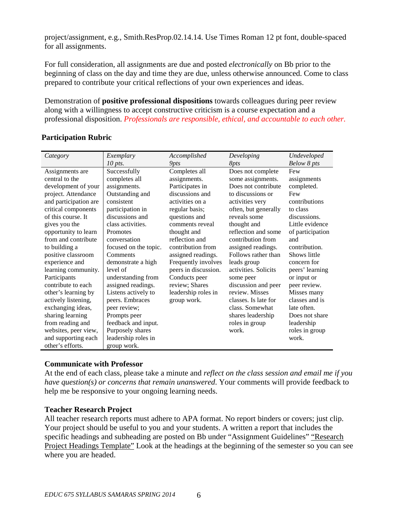project/assignment, e.g., Smith.ResProp.02.14.14. Use Times Roman 12 pt font, double-spaced for all assignments.

For full consideration, all assignments are due and posted *electronically* on Bb prior to the beginning of class on the day and time they are due, unless otherwise announced. Come to class prepared to contribute your critical reflections of your own experiences and ideas.

Demonstration of **positive professional dispositions** towards colleagues during peer review along with a willingness to accept constructive criticism is a course expectation and a professional disposition. *Professionals are responsible, ethical, and accountable to each other.*

| Category              | Exemplary             | Accomplished         | Developing           | Undeveloped      |
|-----------------------|-----------------------|----------------------|----------------------|------------------|
|                       | $10$ pts.             | 9pts                 | 8pts                 | Below 8 pts      |
| Assignments are       | Successfully          | Completes all        | Does not complete    | Few              |
| central to the        | completes all         | assignments.         | some assignments.    | assignments      |
| development of your   | assignments.          | Participates in      | Does not contribute  | completed.       |
| project. Attendance   | Outstanding and       | discussions and      | to discussions or    | Few              |
| and participation are | consistent            | activities on a      | activities very      | contributions    |
| critical components   | participation in      | regular basis;       | often, but generally | to class         |
| of this course. It    | discussions and       | questions and        | reveals some         | discussions.     |
| gives you the         | class activities.     | comments reveal      | thought and          | Little evidence  |
| opportunity to learn  | Promotes              | thought and          | reflection and some  | of participation |
| from and contribute   | conversation          | reflection and       | contribution from    | and              |
| to building a         | focused on the topic. | contribution from    | assigned readings.   | contribution.    |
| positive classroom    | Comments              | assigned readings.   | Follows rather than  | Shows little     |
| experience and        | demonstrate a high    | Frequently involves  | leads group          | concern for      |
| learning community.   | level of              | peers in discussion. | activities. Solicits | peers' learning  |
| Participants          | understanding from    | Conducts peer        | some peer            | or input or      |
| contribute to each    | assigned readings.    | review; Shares       | discussion and peer  | peer review.     |
| other's learning by   | Listens actively to   | leadership roles in  | review. Misses       | Misses many      |
| actively listening,   | peers. Embraces       | group work.          | classes. Is late for | classes and is   |
| exchanging ideas,     | peer review;          |                      | class. Somewhat      | late often.      |
| sharing learning      | Prompts peer          |                      | shares leadership    | Does not share   |
| from reading and      | feedback and input.   |                      | roles in group       | leadership       |
| websites, peer view,  | Purposely shares      |                      | work.                | roles in group   |
| and supporting each   | leadership roles in   |                      |                      | work.            |
| other's efforts.      | group work.           |                      |                      |                  |

### **Participation Rubric**

### **Communicate with Professor**

At the end of each class, please take a minute and *reflect on the class session and email me if you have question(s) or concerns that remain unanswered*. Your comments will provide feedback to help me be responsive to your ongoing learning needs.

### **Teacher Research Project**

All teacher research reports must adhere to APA format. No report binders or covers; just clip. Your project should be useful to you and your students. A written a report that includes the specific headings and subheading are posted on Bb under "Assignment Guidelines" "Research Project Headings Template" Look at the headings at the beginning of the semester so you can see where you are headed.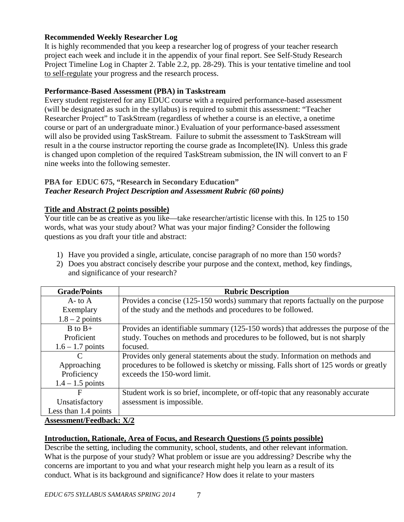### **Recommended Weekly Researcher Log**

It is highly recommended that you keep a researcher log of progress of your teacher research project each week and include it in the appendix of your final report. See Self-Study Research Project Timeline Log in Chapter 2. Table 2.2, pp. 28-29). This is your tentative timeline and tool to self-regulate your progress and the research process.

#### **Performance-Based Assessment (PBA) in Taskstream**

Every student registered for any EDUC course with a required performance-based assessment (will be designated as such in the syllabus) is required to submit this assessment: "Teacher Researcher Project" to TaskStream (regardless of whether a course is an elective, a onetime course or part of an undergraduate minor.) Evaluation of your performance-based assessment will also be provided using TaskStream. Failure to submit the assessment to TaskStream will result in a the course instructor reporting the course grade as Incomplete(IN). Unless this grade is changed upon completion of the required TaskStream submission, the IN will convert to an F nine weeks into the following semester.

### **PBA for EDUC 675, "Research in Secondary Education"** *Teacher Research Project Description and Assessment Rubric (60 points)*

### **Title and Abstract (2 points possible)**

Your title can be as creative as you like—take researcher/artistic license with this. In 125 to 150 words, what was your study about? What was your major finding? Consider the following questions as you draft your title and abstract:

- 1) Have you provided a single, articulate, concise paragraph of no more than 150 words?
- 2) Does you abstract concisely describe your purpose and the context, method, key findings, and significance of your research?

| <b>Grade/Points</b>                             | <b>Rubric Description</b>                                                            |
|-------------------------------------------------|--------------------------------------------------------------------------------------|
| $A$ - to $A$                                    | Provides a concise (125-150 words) summary that reports factually on the purpose     |
| Exemplary                                       | of the study and the methods and procedures to be followed.                          |
| $1.8 - 2$ points                                |                                                                                      |
| $B$ to $B+$                                     | Provides an identifiable summary (125-150 words) that addresses the purpose of the   |
| Proficient                                      | study. Touches on methods and procedures to be followed, but is not sharply          |
| $1.6 - 1.7$ points                              | focused.                                                                             |
| $\mathcal{C}$                                   | Provides only general statements about the study. Information on methods and         |
| Approaching                                     | procedures to be followed is sketchy or missing. Falls short of 125 words or greatly |
| Proficiency                                     | exceeds the 150-word limit.                                                          |
| $1.4 - 1.5$ points                              |                                                                                      |
| F                                               | Student work is so brief, incomplete, or off-topic that any reasonably accurate      |
| Unsatisfactory                                  | assessment is impossible.                                                            |
| Less than $1.4$ points                          |                                                                                      |
| $\Lambda$ cocomont $\Gamma$ oodhaal $\cdot$ V/2 |                                                                                      |

**Assessment/Feedback: X/2**

### **Introduction, Rationale, Area of Focus, and Research Questions (5 points possible)**

Describe the setting, including the community, school, students, and other relevant information. What is the purpose of your study? What problem or issue are you addressing? Describe why the concerns are important to you and what your research might help you learn as a result of its conduct. What is its background and significance? How does it relate to your masters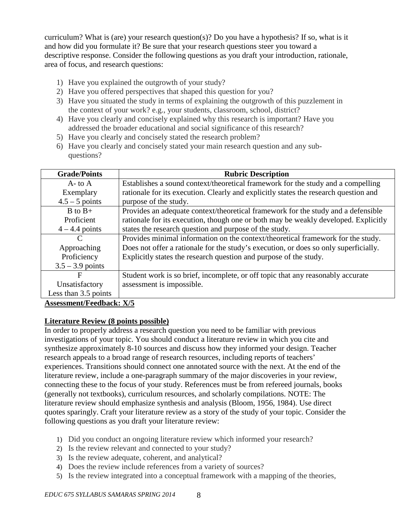curriculum? What is (are) your research question(s)? Do you have a hypothesis? If so, what is it and how did you formulate it? Be sure that your research questions steer you toward a descriptive response. Consider the following questions as you draft your introduction, rationale, area of focus, and research questions:

- 1) Have you explained the outgrowth of your study?
- 2) Have you offered perspectives that shaped this question for you?
- 3) Have you situated the study in terms of explaining the outgrowth of this puzzlement in the context of your work? e.g., your students, classroom, school, district?
- 4) Have you clearly and concisely explained why this research is important? Have you addressed the broader educational and social significance of this research?
- 5) Have you clearly and concisely stated the research problem?
- 6) Have you clearly and concisely stated your main research question and any subquestions?

| <b>Grade/Points</b>             | <b>Rubric Description</b>                                                            |  |
|---------------------------------|--------------------------------------------------------------------------------------|--|
| $A$ - to $A$                    | Establishes a sound context/theoretical framework for the study and a compelling     |  |
| Exemplary                       | rationale for its execution. Clearly and explicitly states the research question and |  |
| $4.5 - 5$ points                | purpose of the study.                                                                |  |
| $B$ to $B+$                     | Provides an adequate context/theoretical framework for the study and a defensible    |  |
| Proficient                      | rationale for its execution, though one or both may be weakly developed. Explicitly  |  |
| $4 - 4.4$ points                | states the research question and purpose of the study.                               |  |
| C                               | Provides minimal information on the context/theoretical framework for the study.     |  |
| Approaching                     | Does not offer a rationale for the study's execution, or does so only superficially. |  |
| Proficiency                     | Explicitly states the research question and purpose of the study.                    |  |
| $3.5 - 3.9$ points              |                                                                                      |  |
| F                               | Student work is so brief, incomplete, or off topic that any reasonably accurate      |  |
| Unsatisfactory                  | assessment is impossible.                                                            |  |
| Less than 3.5 points            |                                                                                      |  |
| <b>Assessment/Feedback: X/5</b> |                                                                                      |  |

# **Literature Review (8 points possible)**

In order to properly address a research question you need to be familiar with previous investigations of your topic. You should conduct a literature review in which you cite and synthesize approximately 8-10 sources and discuss how they informed your design. Teacher research appeals to a broad range of research resources, including reports of teachers' experiences. Transitions should connect one annotated source with the next. At the end of the literature review, include a one-paragraph summary of the major discoveries in your review, connecting these to the focus of your study. References must be from refereed journals, books (generally not textbooks), curriculum resources, and scholarly compilations. NOTE: The literature review should emphasize synthesis and analysis (Bloom, 1956, 1984). Use direct quotes sparingly. Craft your literature review as a story of the study of your topic. Consider the following questions as you draft your literature review:

- 1) Did you conduct an ongoing literature review which informed your research?
- 2) Is the review relevant and connected to your study?
- 3) Is the review adequate, coherent, and analytical?
- 4) Does the review include references from a variety of sources?
- 5) Is the review integrated into a conceptual framework with a mapping of the theories,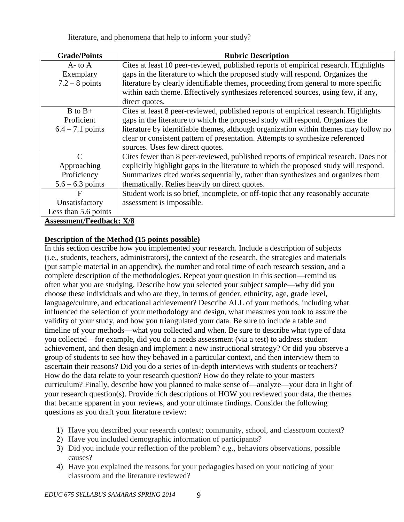literature, and phenomena that help to inform your study?

| <b>Grade/Points</b>             | <b>Rubric Description</b>                                                             |
|---------------------------------|---------------------------------------------------------------------------------------|
| $A$ - to $A$                    | Cites at least 10 peer-reviewed, published reports of empirical research. Highlights  |
| Exemplary                       | gaps in the literature to which the proposed study will respond. Organizes the        |
| $7.2 - 8$ points                | literature by clearly identifiable themes, proceeding from general to more specific   |
|                                 | within each theme. Effectively synthesizes referenced sources, using few, if any,     |
|                                 | direct quotes.                                                                        |
| $B$ to $B+$                     | Cites at least 8 peer-reviewed, published reports of empirical research. Highlights   |
| Proficient                      | gaps in the literature to which the proposed study will respond. Organizes the        |
| $6.4 - 7.1$ points              | literature by identifiable themes, although organization within themes may follow no  |
|                                 | clear or consistent pattern of presentation. Attempts to synthesize referenced        |
|                                 | sources. Uses few direct quotes.                                                      |
| C                               | Cites fewer than 8 peer-reviewed, published reports of empirical research. Does not   |
| Approaching                     | explicitly highlight gaps in the literature to which the proposed study will respond. |
| Proficiency                     | Summarizes cited works sequentially, rather than synthesizes and organizes them       |
| $5.6 - 6.3$ points              | the matically. Relies heavily on direct quotes.                                       |
| $\mathbf F$                     | Student work is so brief, incomplete, or off-topic that any reasonably accurate       |
| Unsatisfactory                  | assessment is impossible.                                                             |
| Less than 5.6 points            |                                                                                       |
| <b>Assessment/Feedback: X/8</b> |                                                                                       |

### **Description of the Method (15 points possible)**

In this section describe how you implemented your research. Include a description of subjects (i.e., students, teachers, administrators), the context of the research, the strategies and materials (put sample material in an appendix), the number and total time of each research session, and a complete description of the methodologies. Repeat your question in this section—remind us often what you are studying. Describe how you selected your subject sample—why did you choose these individuals and who are they, in terms of gender, ethnicity, age, grade level, language/culture, and educational achievement? Describe ALL of your methods, including what influenced the selection of your methodology and design, what measures you took to assure the validity of your study, and how you triangulated your data. Be sure to include a table and timeline of your methods—what you collected and when. Be sure to describe what type of data you collected—for example, did you do a needs assessment (via a test) to address student achievement, and then design and implement a new instructional strategy? Or did you observe a group of students to see how they behaved in a particular context, and then interview them to ascertain their reasons? Did you do a series of in-depth interviews with students or teachers? How do the data relate to your research question? How do they relate to your masters curriculum? Finally, describe how you planned to make sense of—analyze—your data in light of your research question(s). Provide rich descriptions of HOW you reviewed your data, the themes that became apparent in your reviews, and your ultimate findings. Consider the following questions as you draft your literature review:

- 1) Have you described your research context; community, school, and classroom context?
- 2) Have you included demographic information of participants?
- 3) Did you include your reflection of the problem? e.g., behaviors observations, possible causes?
- 4) Have you explained the reasons for your pedagogies based on your noticing of your classroom and the literature reviewed?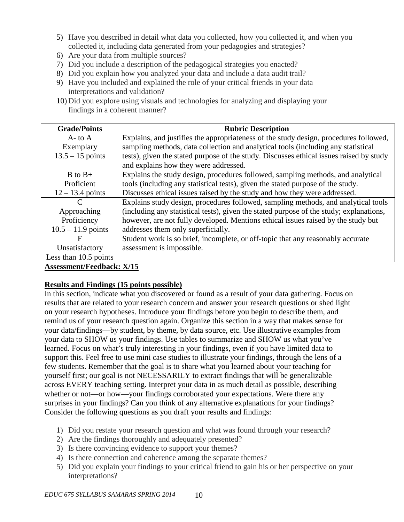- 5) Have you described in detail what data you collected, how you collected it, and when you collected it, including data generated from your pedagogies and strategies?
- 6) Are your data from multiple sources?
- 7) Did you include a description of the pedagogical strategies you enacted?
- 8) Did you explain how you analyzed your data and include a data audit trail?
- 9) Have you included and explained the role of your critical friends in your data interpretations and validation?
- 10) Did you explore using visuals and technologies for analyzing and displaying your findings in a coherent manner?

| <b>Grade/Points</b>              | <b>Rubric Description</b>                                                               |  |
|----------------------------------|-----------------------------------------------------------------------------------------|--|
| $A$ - to $A$                     | Explains, and justifies the appropriateness of the study design, procedures followed,   |  |
| Exemplary                        | sampling methods, data collection and analytical tools (including any statistical       |  |
| $13.5 - 15$ points               | tests), given the stated purpose of the study. Discusses ethical issues raised by study |  |
|                                  | and explains how they were addressed.                                                   |  |
| $B$ to $B+$                      | Explains the study design, procedures followed, sampling methods, and analytical        |  |
| Proficient                       | tools (including any statistical tests), given the stated purpose of the study.         |  |
| $12 - 13.4$ points               | Discusses ethical issues raised by the study and how they were addressed.               |  |
| C                                | Explains study design, procedures followed, sampling methods, and analytical tools      |  |
| Approaching                      | (including any statistical tests), given the stated purpose of the study; explanations, |  |
| Proficiency                      | however, are not fully developed. Mentions ethical issues raised by the study but       |  |
| $10.5 - 11.9$ points             | addresses them only superficially.                                                      |  |
| $\mathbf F$                      | Student work is so brief, incomplete, or off-topic that any reasonably accurate         |  |
| Unsatisfactory                   | assessment is impossible.                                                               |  |
| Less than 10.5 points            |                                                                                         |  |
| <b>Assessment/Feedback: X/15</b> |                                                                                         |  |

### **Results and Findings (15 points possible)**

In this section, indicate what you discovered or found as a result of your data gathering. Focus on results that are related to your research concern and answer your research questions or shed light on your research hypotheses. Introduce your findings before you begin to describe them, and remind us of your research question again. Organize this section in a way that makes sense for your data/findings—by student, by theme, by data source, etc. Use illustrative examples from your data to SHOW us your findings. Use tables to summarize and SHOW us what you've learned. Focus on what's truly interesting in your findings, even if you have limited data to support this. Feel free to use mini case studies to illustrate your findings, through the lens of a few students. Remember that the goal is to share what you learned about your teaching for yourself first; our goal is not NECESSARILY to extract findings that will be generalizable across EVERY teaching setting. Interpret your data in as much detail as possible, describing whether or not—or how—your findings corroborated your expectations. Were there any surprises in your findings? Can you think of any alternative explanations for your findings? Consider the following questions as you draft your results and findings:

- 1) Did you restate your research question and what was found through your research?
- 2) Are the findings thoroughly and adequately presented?
- 3) Is there convincing evidence to support your themes?
- 4) Is there connection and coherence among the separate themes?
- 5) Did you explain your findings to your critical friend to gain his or her perspective on your interpretations?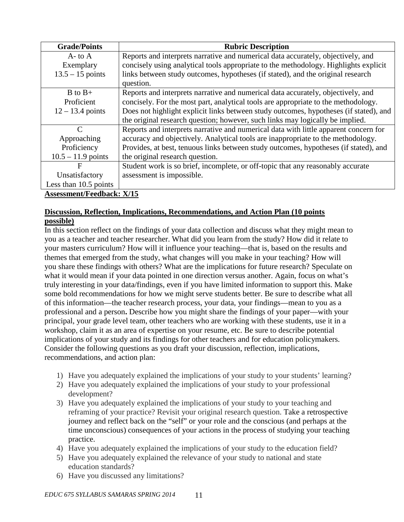| <b>Grade/Points</b>     | <b>Rubric Description</b>                                                             |  |
|-------------------------|---------------------------------------------------------------------------------------|--|
| $A$ - to $A$            | Reports and interprets narrative and numerical data accurately, objectively, and      |  |
| Exemplary               | concisely using analytical tools appropriate to the methodology. Highlights explicit  |  |
| $13.5 - 15$ points      | links between study outcomes, hypotheses (if stated), and the original research       |  |
|                         | question.                                                                             |  |
| $B$ to $B+$             | Reports and interprets narrative and numerical data accurately, objectively, and      |  |
| Proficient              | concisely. For the most part, analytical tools are appropriate to the methodology.    |  |
| $12 - 13.4$ points      | Does not highlight explicit links between study outcomes, hypotheses (if stated), and |  |
|                         | the original research question; however, such links may logically be implied.         |  |
| C                       | Reports and interprets narrative and numerical data with little apparent concern for  |  |
| Approaching             | accuracy and objectively. Analytical tools are inappropriate to the methodology.      |  |
| Proficiency             | Provides, at best, tenuous links between study outcomes, hypotheses (if stated), and  |  |
| $10.5 - 11.9$ points    | the original research question.                                                       |  |
| F                       | Student work is so brief, incomplete, or off-topic that any reasonably accurate       |  |
| Unsatisfactory          | assessment is impossible.                                                             |  |
| Less than $10.5$ points |                                                                                       |  |
|                         |                                                                                       |  |

**Assessment/Feedback: X/15**

### **Discussion, Reflection, Implications, Recommendations, and Action Plan (10 points possible)**

In this section reflect on the findings of your data collection and discuss what they might mean to you as a teacher and teacher researcher. What did you learn from the study? How did it relate to your masters curriculum? How will it influence your teaching—that is, based on the results and themes that emerged from the study, what changes will you make in your teaching? How will you share these findings with others? What are the implications for future research? Speculate on what it would mean if your data pointed in one direction versus another. Again, focus on what's truly interesting in your data/findings, even if you have limited information to support this. Make some bold recommendations for how we might serve students better. Be sure to describe what all of this information—the teacher research process, your data, your findings—mean to you as a professional and a person**.** Describe how you might share the findings of your paper—with your principal, your grade level team, other teachers who are working with these students, use it in a workshop, claim it as an area of expertise on your resume, etc. Be sure to describe potential implications of your study and its findings for other teachers and for education policymakers. Consider the following questions as you draft your discussion, reflection, implications, recommendations, and action plan:

- 1) Have you adequately explained the implications of your study to your students' learning?
- 2) Have you adequately explained the implications of your study to your professional development?
- 3) Have you adequately explained the implications of your study to your teaching and reframing of your practice? Revisit your original research question. Take a retrospective journey and reflect back on the "self" or your role and the conscious (and perhaps at the time unconscious) consequences of your actions in the process of studying your teaching practice.
- 4) Have you adequately explained the implications of your study to the education field?
- 5) Have you adequately explained the relevance of your study to national and state education standards?
- 6) Have you discussed any limitations?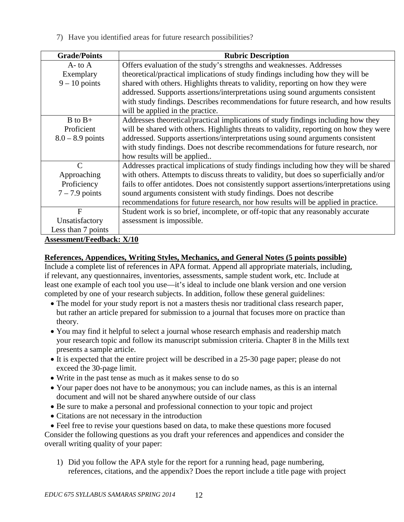7) Have you identified areas for future research possibilities?

| <b>Grade/Points</b>                 | <b>Rubric Description</b>                                                                |
|-------------------------------------|------------------------------------------------------------------------------------------|
| $A$ - to $A$                        | Offers evaluation of the study's strengths and weaknesses. Addresses                     |
|                                     |                                                                                          |
| Exemplary                           | theoretical/practical implications of study findings including how they will be          |
| $9 - 10$ points                     | shared with others. Highlights threats to validity, reporting on how they were           |
|                                     | addressed. Supports assertions/interpretations using sound arguments consistent          |
|                                     | with study findings. Describes recommendations for future research, and how results      |
|                                     | will be applied in the practice.                                                         |
| $B$ to $B+$                         | Addresses theoretical/practical implications of study findings including how they        |
| Proficient                          | will be shared with others. Highlights threats to validity, reporting on how they were   |
| $8.0 - 8.9$ points                  | addressed. Supports assertions/interpretations using sound arguments consistent          |
|                                     | with study findings. Does not describe recommendations for future research, nor          |
|                                     | how results will be applied                                                              |
| $\mathcal{C}$                       | Addresses practical implications of study findings including how they will be shared     |
| Approaching                         | with others. Attempts to discuss threats to validity, but does so superficially and/or   |
| Proficiency                         | fails to offer antidotes. Does not consistently support assertions/interpretations using |
| $7 - 7.9$ points                    | sound arguments consistent with study findings. Does not describe                        |
|                                     | recommendations for future research, nor how results will be applied in practice.        |
| $\mathbf{F}$                        | Student work is so brief, incomplete, or off-topic that any reasonably accurate          |
| Unsatisfactory                      | assessment is impossible.                                                                |
| Less than 7 points                  |                                                                                          |
| $1/\sqrt{12} = 11 = 1 + \sqrt{110}$ |                                                                                          |

**Assessment/Feedback: X/10**

#### **References, Appendices, Writing Styles, Mechanics, and General Notes (5 points possible)**

Include a complete list of references in APA format. Append all appropriate materials, including, if relevant, any questionnaires, inventories, assessments, sample student work, etc. Include at least one example of each tool you use—it's ideal to include one blank version and one version completed by one of your research subjects. In addition, follow these general guidelines:

- The model for your study report is not a masters thesis nor traditional class research paper, but rather an article prepared for submission to a journal that focuses more on practice than theory.
- You may find it helpful to select a journal whose research emphasis and readership match your research topic and follow its manuscript submission criteria. Chapter 8 in the Mills text presents a sample article.
- It is expected that the entire project will be described in a 25-30 page paper; please do not exceed the 30-page limit.
- Write in the past tense as much as it makes sense to do so
- Your paper does not have to be anonymous; you can include names, as this is an internal document and will not be shared anywhere outside of our class
- Be sure to make a personal and professional connection to your topic and project
- Citations are not necessary in the introduction

• Feel free to revise your questions based on data, to make these questions more focused Consider the following questions as you draft your references and appendices and consider the overall writing quality of your paper:

1) Did you follow the APA style for the report for a running head, page numbering, references, citations, and the appendix? Does the report include a title page with project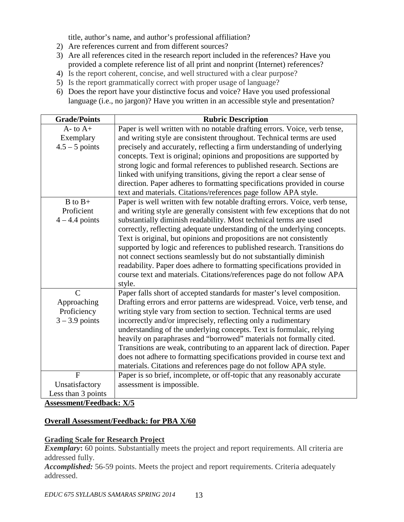title, author's name, and author's professional affiliation?

- 2) Are references current and from different sources?
- 3) Are all references cited in the research report included in the references? Have you provided a complete reference list of all print and nonprint (Internet) references?
- 4) Is the report coherent, concise, and well structured with a clear purpose?
- 5) Is the report grammatically correct with proper usage of language?
- 6) Does the report have your distinctive focus and voice? Have you used professional language (i.e., no jargon)? Have you written in an accessible style and presentation?

| <b>Grade/Points</b> | <b>Rubric Description</b>                                                  |
|---------------------|----------------------------------------------------------------------------|
| $A$ - to $A$ +      | Paper is well written with no notable drafting errors. Voice, verb tense,  |
| Exemplary           | and writing style are consistent throughout. Technical terms are used      |
| $4.5 - 5$ points    | precisely and accurately, reflecting a firm understanding of underlying    |
|                     | concepts. Text is original; opinions and propositions are supported by     |
|                     | strong logic and formal references to published research. Sections are     |
|                     | linked with unifying transitions, giving the report a clear sense of       |
|                     | direction. Paper adheres to formatting specifications provided in course   |
|                     | text and materials. Citations/references page follow APA style.            |
| $B$ to $B+$         | Paper is well written with few notable drafting errors. Voice, verb tense, |
| Proficient          | and writing style are generally consistent with few exceptions that do not |
| $4 - 4.4$ points    | substantially diminish readability. Most technical terms are used          |
|                     | correctly, reflecting adequate understanding of the underlying concepts.   |
|                     | Text is original, but opinions and propositions are not consistently       |
|                     | supported by logic and references to published research. Transitions do    |
|                     | not connect sections seamlessly but do not substantially diminish          |
|                     | readability. Paper does adhere to formatting specifications provided in    |
|                     | course text and materials. Citations/references page do not follow APA     |
|                     | style.                                                                     |
| $\overline{C}$      | Paper falls short of accepted standards for master's level composition.    |
| Approaching         | Drafting errors and error patterns are widespread. Voice, verb tense, and  |
| Proficiency         | writing style vary from section to section. Technical terms are used       |
| $3 - 3.9$ points    | incorrectly and/or imprecisely, reflecting only a rudimentary              |
|                     | understanding of the underlying concepts. Text is formulaic, relying       |
|                     | heavily on paraphrases and "borrowed" materials not formally cited.        |
|                     | Transitions are weak, contributing to an apparent lack of direction. Paper |
|                     | does not adhere to formatting specifications provided in course text and   |
|                     | materials. Citations and references page do not follow APA style.          |
| $\overline{F}$      | Paper is so brief, incomplete, or off-topic that any reasonably accurate   |
| Unsatisfactory      | assessment is impossible.                                                  |
| Less than 3 points  |                                                                            |

**Assessment/Feedback: X/5**

### **Overall Assessment/Feedback: for PBA X/60**

#### **Grading Scale for Research Project**

*Exemplary*: 60 points. Substantially meets the project and report requirements. All criteria are addressed fully.

*Accomplished:* 56-59 points. Meets the project and report requirements. Criteria adequately addressed.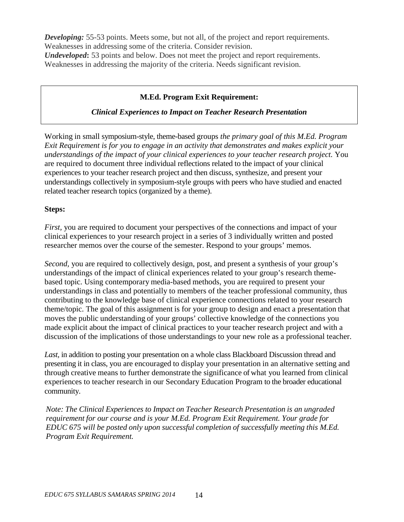**Developing:** 55-53 points. Meets some, but not all, of the project and report requirements. Weaknesses in addressing some of the criteria. Consider revision. *Undeveloped*: 53 points and below. Does not meet the project and report requirements. Weaknesses in addressing the majority of the criteria. Needs significant revision.

#### **M.Ed. Program Exit Requirement:**

#### *Clinical Experiences to Impact on Teacher Research Presentation*

Working in small symposium-style, theme-based groups *the primary goal of this M.Ed. Program Exit Requirement is for you to engage in an activity that demonstrates and makes explicit your understandings of the impact of your clinical experiences to your teacher research project.* You are required to document three individual reflections related to the impact of your clinical experiences to your teacher research project and then discuss, synthesize, and present your understandings collectively in symposium-style groups with peers who have studied and enacted related teacher research topics (organized by a theme).

#### **Steps:**

*First*, you are required to document your perspectives of the connections and impact of your clinical experiences to your research project in a series of 3 individually written and posted researcher memos over the course of the semester. Respond to your groups' memos.

*Second,* you are required to collectively design, post, and present a synthesis of your group's understandings of the impact of clinical experiences related to your group's research themebased topic. Using contemporary media-based methods, you are required to present your understandings in class and potentially to members of the teacher professional community, thus contributing to the knowledge base of clinical experience connections related to your research theme/topic. The goal of this assignment is for your group to design and enact a presentation that moves the public understanding of your groups' collective knowledge of the connections you made explicit about the impact of clinical practices to your teacher research project and with a discussion of the implications of those understandings to your new role as a professional teacher.

Last, in addition to posting your presentation on a whole class Blackboard Discussion thread and presenting it in class, you are encouraged to display your presentation in an alternative setting and through creative means to further demonstrate the significance of what you learned from clinical experiences to teacher research in our Secondary Education Program to the broader educational community.

*Note: The Clinical Experiences to Impact on Teacher Research Presentation is an ungraded requirement for our course and is your M.Ed. Program Exit Requirement. Your grade for EDUC 675 will be posted only upon successful completion of successfully meeting this M.Ed. Program Exit Requirement.*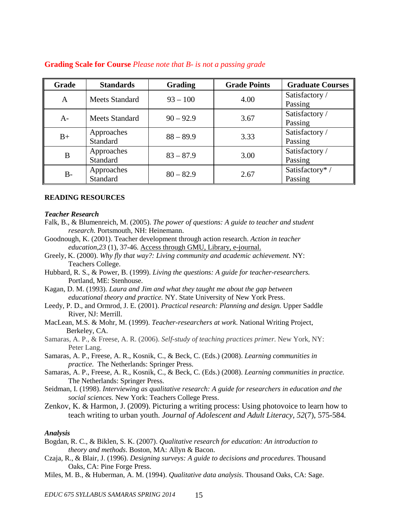| Grade | <b>Standards</b> | <b>Grading</b> | <b>Grade Points</b> | <b>Graduate Courses</b> |
|-------|------------------|----------------|---------------------|-------------------------|
| A     | Meets Standard   | $93 - 100$     | 4.00                | Satisfactory /          |
|       |                  |                |                     | Passing                 |
| $A-$  | Meets Standard   | $90 - 92.9$    | 3.67                | Satisfactory /          |
|       |                  |                |                     | Passing                 |
| $B+$  | Approaches       | $88 - 89.9$    | 3.33                | Satisfactory /          |
|       | Standard         |                |                     | Passing                 |
| B     | Approaches       | $83 - 87.9$    | 3.00                | Satisfactory /          |
|       | Standard         |                |                     | Passing                 |
| $B-$  | Approaches       | $80 - 82.9$    | 2.67                | Satisfactory* /         |
|       | Standard         |                |                     | Passing                 |

#### **Grading Scale for Course** *Please note that B- is not a passing grade*

#### **READING RESOURCES**

#### *Teacher Research*

- Falk, B., & Blumenreich, M. (2005). *The power of questions: A guide to teacher and student research.* Portsmouth, NH: Heinemann.
- Goodnough, K. (2001). Teacher development through action research. *Action in teacher education,23* (1), 37-46. Access through GMU, Library, e-journal.
- Greely, K. (2000). *Why fly that way?: Living community and academic achievement.* NY: Teachers College.
- Hubbard, R. S., & Power, B. (1999). *Living the questions: A guide for teacher-researchers.*  Portland, ME: Stenhouse.
- Kagan, D. M. (1993). *Laura and Jim and what they taught me about the gap between educational theory and practice.* NY. State University of New York Press.
- Leedy, P. D., and Ormrod, J. E. (2001). *Practical research: Planning and design.* Upper Saddle River, NJ: Merrill.
- MacLean, M.S. & Mohr, M. (1999). *Teacher-researchers at work*. National Writing Project, Berkeley, CA.
- Samaras, A. P., & Freese, A. R. (2006). *Self-study of teaching practices primer.* New York, NY: Peter Lang.
- Samaras, A. P., Freese, A. R., Kosnik, C., & Beck, C. (Eds.) (2008). *Learning communities in practice.* The Netherlands: Springer Press.
- Samaras, A. P., Freese, A. R., Kosnik, C., & Beck, C. (Eds.) (2008). *Learning communities in practice.*  The Netherlands: Springer Press.
- Seidman, I. (1998). *Interviewing as qualitative research: A guide for researchers in education and the social sciences.* New York: Teachers College Press.
- Zenkov, K. & Harmon, J. (2009). Picturing a writing process: Using photovoice to learn how to teach writing to urban youth. *Journal of Adolescent and Adult Literacy, 52*(7), 575-584*.*

#### *Analysis*

- Bogdan, R. C., & Biklen, S. K. (2007). *Qualitative research for education: An introduction to theory and methods*. Boston, MA: Allyn & Bacon.
- Czaja, R., & Blair, J. (1996). *Designing surveys: A guide to decisions and procedures.* Thousand Oaks, CA: Pine Forge Press.
- Miles, M. B., & Huberman, A. M. (1994). *Qualitative data analysis*. Thousand Oaks, CA: Sage.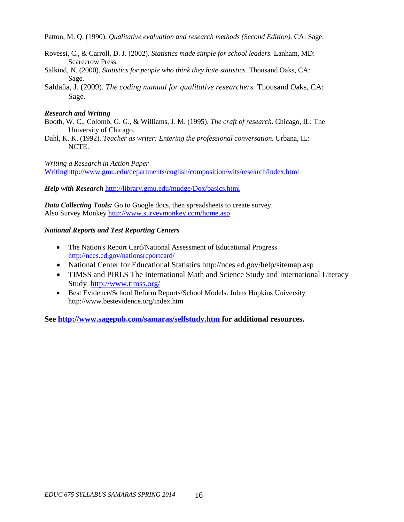Patton, M. Q. (1990). *Qualitative evaluation and research methods (Second Edition).* CA: Sage.

- Rovessi, C., & Carroll, D. J. (2002). *Statistics made simple for school leaders.* Lanham, MD: Scarecrow Press.
- Salkind, N. (2000). *Statistics for people who think they hate statistics.* Thousand Oaks, CA: Sage.
- Saldaña, J. (2009). *The coding manual for qualitative researchers.* Thousand Oaks, CA: Sage.

#### *Research and Writing*

- Booth, W. C., Colomb, G. G., & Williams, J. M. (1995). *The craft of research*. Chicago, IL: The University of Chicago.
- Dahl, K. K. (1992). *Teacher as writer: Entering the professional conversation.* Urbana, IL: NCTE.

*Writing a Research in Action Paper* [Writinghttp://www.gmu.edu/departments/english/composition/wits/research/index.html](http://www.gmu.edu/departments/english/composition/wits/research/index.html)

*Help with Research* <http://library.gmu.edu/mudge/Dox/basics.html>

*Data Collecting Tools:* Go to Google docs, then spreadsheets to create survey. Also Survey Monkey<http://www.surveymonkey.com/home.asp>

#### *National Reports and Test Reporting Centers*

- [The Nation's Report Card/](http://nces.ed.gov/nationsreportcard/)National Assessment of Educational Progress <http://nces.ed.gov/nationsreportcard/>
- National Center for Educational Statistics http://nces.ed.gov/help/sitemap.asp
- TIMSS and PIRLS [The International Math and Science Study](http://www.timss.org/) and International Literacy Study <http://www.timss.org/>
- Best Evidence/School Reform Reports/School Models. Johns Hopkins University http://www.bestevidence.org/index.htm

**See<http://www.sagepub.com/samaras/selfstudy.htm> for additional resources.**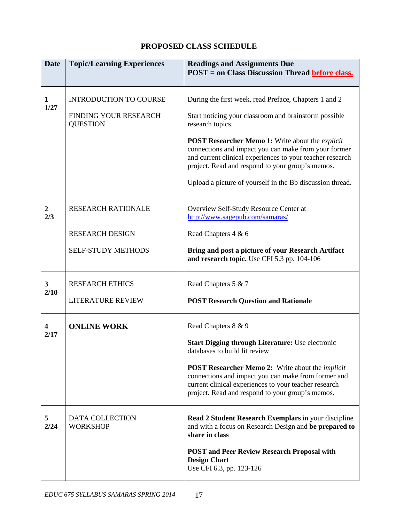# **PROPOSED CLASS SCHEDULE**

| <b>Date</b>           | <b>Topic/Learning Experiences</b>         | <b>Readings and Assignments Due</b><br><b>POST</b> = on Class Discussion Thread <b>before class</b> .                                                                                                                                   |  |
|-----------------------|-------------------------------------------|-----------------------------------------------------------------------------------------------------------------------------------------------------------------------------------------------------------------------------------------|--|
| 1<br>1/27             | <b>INTRODUCTION TO COURSE</b>             | During the first week, read Preface, Chapters 1 and 2                                                                                                                                                                                   |  |
|                       | FINDING YOUR RESEARCH<br><b>QUESTION</b>  | Start noticing your classroom and brainstorm possible<br>research topics.                                                                                                                                                               |  |
|                       |                                           | <b>POST Researcher Memo 1:</b> Write about the <i>explicit</i><br>connections and impact you can make from your former<br>and current clinical experiences to your teacher research<br>project. Read and respond to your group's memos. |  |
|                       |                                           | Upload a picture of yourself in the Bb discussion thread.                                                                                                                                                                               |  |
| $\overline{2}$<br>2/3 | <b>RESEARCH RATIONALE</b>                 | Overview Self-Study Resource Center at<br>http://www.sagepub.com/samaras/                                                                                                                                                               |  |
|                       | <b>RESEARCH DESIGN</b>                    | Read Chapters 4 & 6                                                                                                                                                                                                                     |  |
|                       | <b>SELF-STUDY METHODS</b>                 | Bring and post a picture of your Research Artifact<br>and research topic. Use CFI 5.3 pp. 104-106                                                                                                                                       |  |
| 3                     | <b>RESEARCH ETHICS</b>                    | Read Chapters 5 & 7                                                                                                                                                                                                                     |  |
| 2/10                  | <b>LITERATURE REVIEW</b>                  | <b>POST Research Question and Rationale</b>                                                                                                                                                                                             |  |
| 4                     | <b>ONLINE WORK</b>                        | Read Chapters 8 & 9                                                                                                                                                                                                                     |  |
| 2/17                  |                                           | <b>Start Digging through Literature: Use electronic</b><br>databases to build lit review                                                                                                                                                |  |
|                       |                                           | <b>POST Researcher Memo 2:</b> Write about the <i>implicit</i><br>connections and impact you can make from former and<br>current clinical experiences to your teacher research<br>project. Read and respond to your group's memos.      |  |
| 5<br>2/24             | <b>DATA COLLECTION</b><br><b>WORKSHOP</b> | Read 2 Student Research Exemplars in your discipline<br>and with a focus on Research Design and be prepared to<br>share in class                                                                                                        |  |
|                       |                                           | <b>POST and Peer Review Research Proposal with</b><br><b>Design Chart</b><br>Use CFI 6.3, pp. 123-126                                                                                                                                   |  |